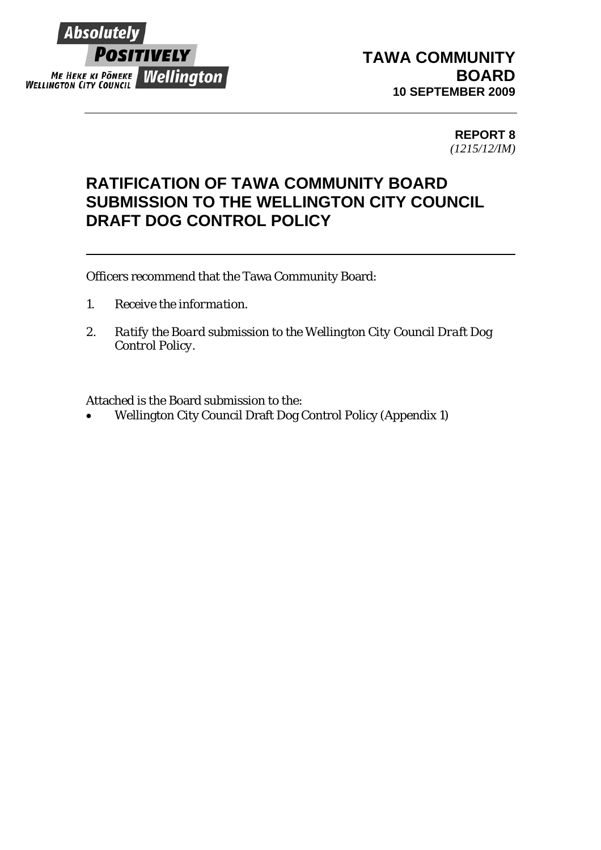

## **TAWA COMMUNITY BOARD 10 SEPTEMBER 2009**

**REPORT 8**  *(1215/12/IM)*

## **RATIFICATION OF TAWA COMMUNITY BOARD SUBMISSION TO THE WELLINGTON CITY COUNCIL DRAFT DOG CONTROL POLICY**

Officers recommend that the Tawa Community Board:

- *1. Receive the information.*
- *2. Ratify the Board submission to the Wellington City Council Draft Dog Control Policy.*

Attached is the Board submission to the:

• Wellington City Council Draft Dog Control Policy (Appendix 1)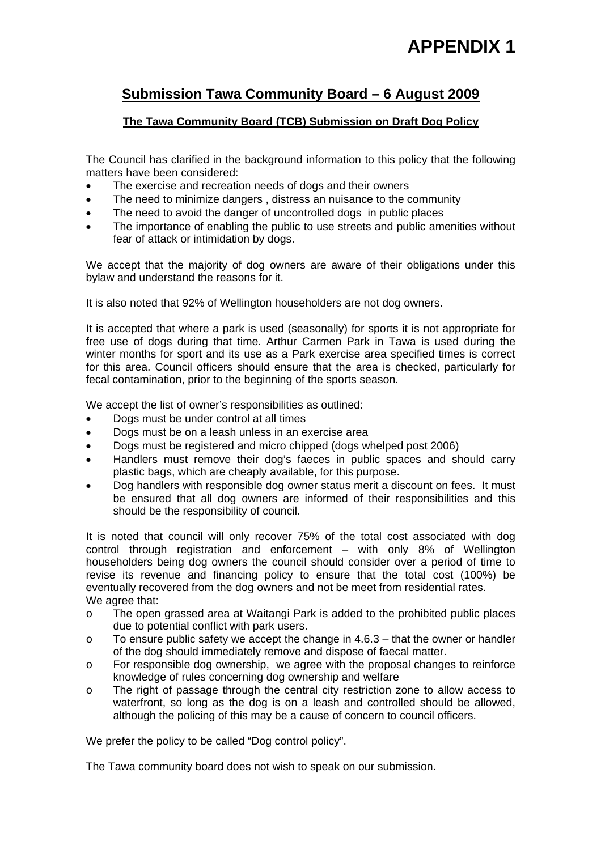# **APPENDIX 1**

## **Submission Tawa Community Board – 6 August 2009**

#### **The Tawa Community Board (TCB) Submission on Draft Dog Policy**

The Council has clarified in the background information to this policy that the following matters have been considered:

- The exercise and recreation needs of dogs and their owners
- The need to minimize dangers, distress an nuisance to the community
- The need to avoid the danger of uncontrolled dogs in public places
- The importance of enabling the public to use streets and public amenities without fear of attack or intimidation by dogs.

We accept that the majority of dog owners are aware of their obligations under this bylaw and understand the reasons for it.

It is also noted that 92% of Wellington householders are not dog owners.

It is accepted that where a park is used (seasonally) for sports it is not appropriate for free use of dogs during that time. Arthur Carmen Park in Tawa is used during the winter months for sport and its use as a Park exercise area specified times is correct for this area. Council officers should ensure that the area is checked, particularly for fecal contamination, prior to the beginning of the sports season.

We accept the list of owner's responsibilities as outlined:

- Dogs must be under control at all times
- Dogs must be on a leash unless in an exercise area
- Dogs must be registered and micro chipped (dogs whelped post 2006)
- Handlers must remove their dog's faeces in public spaces and should carry plastic bags, which are cheaply available, for this purpose.
- Dog handlers with responsible dog owner status merit a discount on fees. It must be ensured that all dog owners are informed of their responsibilities and this should be the responsibility of council.

It is noted that council will only recover 75% of the total cost associated with dog control through registration and enforcement – with only 8% of Wellington householders being dog owners the council should consider over a period of time to revise its revenue and financing policy to ensure that the total cost (100%) be eventually recovered from the dog owners and not be meet from residential rates. We agree that:

- o The open grassed area at Waitangi Park is added to the prohibited public places due to potential conflict with park users.
- $\circ$  To ensure public safety we accept the change in 4.6.3 that the owner or handler of the dog should immediately remove and dispose of faecal matter.
- o For responsible dog ownership, we agree with the proposal changes to reinforce knowledge of rules concerning dog ownership and welfare
- o The right of passage through the central city restriction zone to allow access to waterfront, so long as the dog is on a leash and controlled should be allowed, although the policing of this may be a cause of concern to council officers.

We prefer the policy to be called "Dog control policy".

The Tawa community board does not wish to speak on our submission.